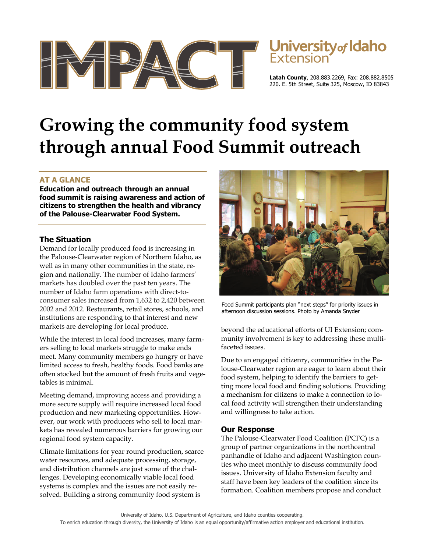



**Latah County**, 208.883.2269, Fax: 208.882.8505 220. E. 5th Street, Suite 325, Moscow, ID 83843

# **Growing the community food system through annual Food Summit outreach**

# **AT A GLANCE**

**Education and outreach through an annual food summit is raising awareness and action of citizens to strengthen the health and vibrancy of the Palouse-Clearwater Food System.** 

#### **The Situation**

Demand for locally produced food is increasing in the Palouse-Clearwater region of Northern Idaho, as well as in many other communities in the state, region and nationally. The number of Idaho farmers' markets has doubled over the past ten years. The number of Idaho farm operations with direct-toconsumer sales increased from 1,632 to 2,420 between 2002 and 2012. Restaurants, retail stores, schools, and institutions are responding to that interest and new markets are developing for local produce.

While the interest in local food increases, many farmers selling to local markets struggle to make ends meet. Many community members go hungry or have limited access to fresh, healthy foods. Food banks are often stocked but the amount of fresh fruits and vegetables is minimal.

Meeting demand, improving access and providing a more secure supply will require increased local food production and new marketing opportunities. However, our work with producers who sell to local markets has revealed numerous barriers for growing our regional food system capacity.

Climate limitations for year round production, scarce water resources, and adequate processing, storage, and distribution channels are just some of the challenges. Developing economically viable local food systems is complex and the issues are not easily resolved. Building a strong community food system is



Food Summit participants plan "next steps" for priority issues in afternoon discussion sessions. Photo by Amanda Snyder

beyond the educational efforts of UI Extension; community involvement is key to addressing these multifaceted issues.

Due to an engaged citizenry, communities in the Palouse-Clearwater region are eager to learn about their food system, helping to identify the barriers to getting more local food and finding solutions. Providing a mechanism for citizens to make a connection to local food activity will strengthen their understanding and willingness to take action.

#### **Our Response**

The Palouse-Clearwater Food Coalition (PCFC) is a group of partner organizations in the northcentral panhandle of Idaho and adjacent Washington counties who meet monthly to discuss community food issues. University of Idaho Extension faculty and staff have been key leaders of the coalition since its formation. Coalition members propose and conduct